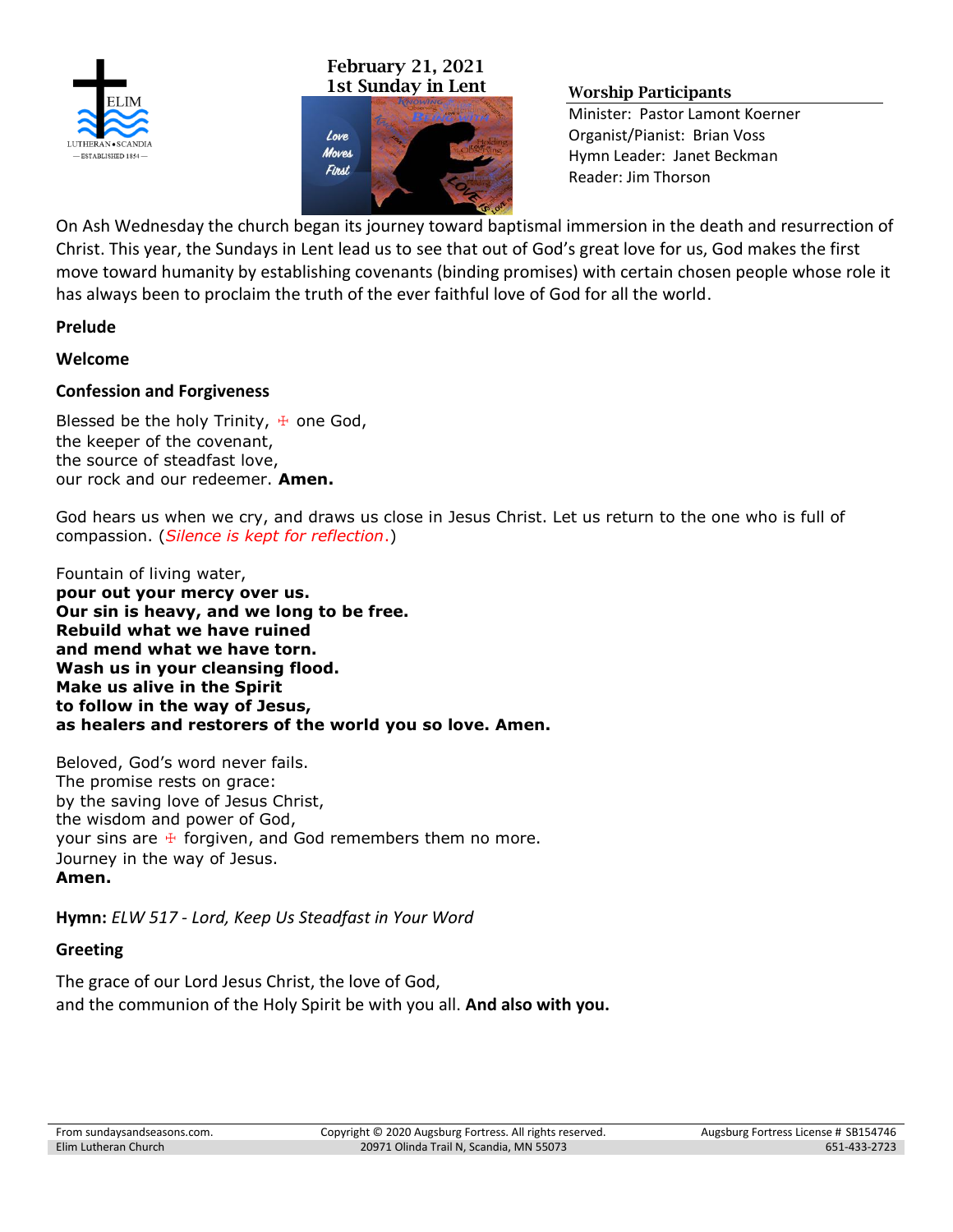

# **February 21, 2021 1st Sunday in Lent Worship Participants**



Minister: Pastor Lamont Koerner Organist/Pianist: Brian Voss Hymn Leader: Janet Beckman Reader: Jim Thorson

On Ash Wednesday the church began its journey toward baptismal immersion in the death and resurrection of Christ. This year, the Sundays in Lent lead us to see that out of God's great love for us, God makes the first move toward humanity by establishing covenants (binding promises) with certain chosen people whose role it has always been to proclaim the truth of the ever faithful love of God for all the world.

#### **Prelude**

#### **Welcome**

#### **Confession and Forgiveness**

Blessed be the holy Trinity,  $\pm$  one God, the keeper of the covenant, the source of steadfast love, our rock and our redeemer. **Amen.**

God hears us when we cry, and draws us close in Jesus Christ. Let us return to the one who is full of compassion. (*Silence is kept for reflection*.)

Fountain of living water, **pour out your mercy over us. Our sin is heavy, and we long to be free. Rebuild what we have ruined and mend what we have torn. Wash us in your cleansing flood. Make us alive in the Spirit to follow in the way of Jesus, as healers and restorers of the world you so love. Amen.**

Beloved, God's word never fails. The promise rests on grace: by the saving love of Jesus Christ, the wisdom and power of God, your sins are  $\pm$  forgiven, and God remembers them no more. Journey in the way of Jesus. **Amen.**

**Hymn:** *ELW 517 - Lord, Keep Us Steadfast in Your Word*

### **Greeting**

The grace of our Lord Jesus Christ, the love of God, and the communion of the Holy Spirit be with you all. **And also with you.**